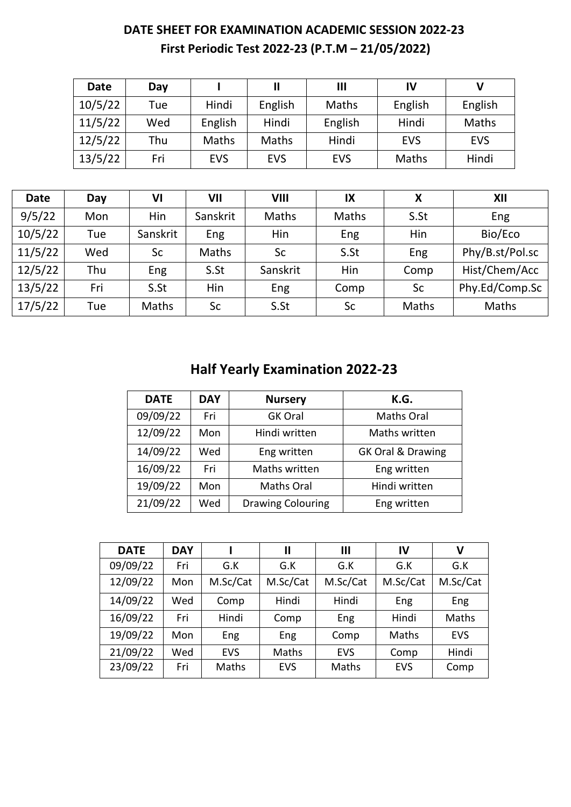### **DATE SHEET FOR EXAMINATION ACADEMIC SESSION 2022-23 First Periodic Test 2022-23 (P.T.M – 21/05/2022)**

| <b>Date</b> | Day |            | Ш          | $\mathbf{III}$ | IV         |            |
|-------------|-----|------------|------------|----------------|------------|------------|
| 10/5/22     | Tue | Hindi      | English    | Maths          | English    | English    |
| 11/5/22     | Wed | English    | Hindi      | English        | Hindi      | Maths      |
| 12/5/22     | Thu | Maths      | Maths      | Hindi          | <b>EVS</b> | <b>EVS</b> |
| 13/5/22     | Fri | <b>EVS</b> | <b>EVS</b> | <b>EVS</b>     | Maths      | Hindi      |

| <b>Date</b> | Day | VI       | VII      | VIII      | IX    | Χ     | XII             |
|-------------|-----|----------|----------|-----------|-------|-------|-----------------|
| 9/5/22      | Mon | Hin      | Sanskrit | Maths     | Maths | S.St  | Eng             |
| 10/5/22     | Tue | Sanskrit | Eng      | Hin       | Eng   | Hin   | Bio/Eco         |
| 11/5/22     | Wed | Sc       | Maths    | <b>Sc</b> | S.St  | Eng   | Phy/B.st/Pol.sc |
| 12/5/22     | Thu | Eng      | S.St     | Sanskrit  | Hin   | Comp  | Hist/Chem/Acc   |
| 13/5/22     | Fri | S.St     | Hin      | Eng       | Comp  | Sc    | Phy.Ed/Comp.Sc  |
| 17/5/22     | Tue | Maths    | Sc       | S.St      | Sc    | Maths | Maths           |

## **Half Yearly Examination 2022-23**

| <b>DATE</b> | <b>DAY</b> | <b>Nursery</b>           | K.G.              |
|-------------|------------|--------------------------|-------------------|
| 09/09/22    | Fri        | <b>GK Oral</b>           | <b>Maths Oral</b> |
| 12/09/22    | Mon        | Hindi written            | Maths written     |
| 14/09/22    | Wed        | Eng written              | GK Oral & Drawing |
| 16/09/22    | Fri        | Maths written            | Eng written       |
| 19/09/22    | Mon        | <b>Maths Oral</b>        | Hindi written     |
| 21/09/22    | Wed        | <b>Drawing Colouring</b> | Eng written       |

| <b>DATE</b> | <b>DAY</b> |            | Ш          | $\mathbf{III}$ | IV         | V          |
|-------------|------------|------------|------------|----------------|------------|------------|
| 09/09/22    | Fri        | G.K        | G.K        | G.K            | G.K        | G.K        |
| 12/09/22    | Mon        | M.Sc/Cat   | M.Sc/Cat   | M.Sc/Cat       | M.Sc/Cat   | M.Sc/Cat   |
| 14/09/22    | Wed        | Comp       | Hindi      | Hindi          | Eng        | Eng        |
| 16/09/22    | Fri        | Hindi      | Comp       | Eng            | Hindi      | Maths      |
| 19/09/22    | Mon        | Eng        | Eng        | Comp           | Maths      | <b>EVS</b> |
| 21/09/22    | Wed        | <b>EVS</b> | Maths      | <b>EVS</b>     | Comp       | Hindi      |
| 23/09/22    | Fri        | Maths      | <b>EVS</b> | Maths          | <b>EVS</b> | Comp       |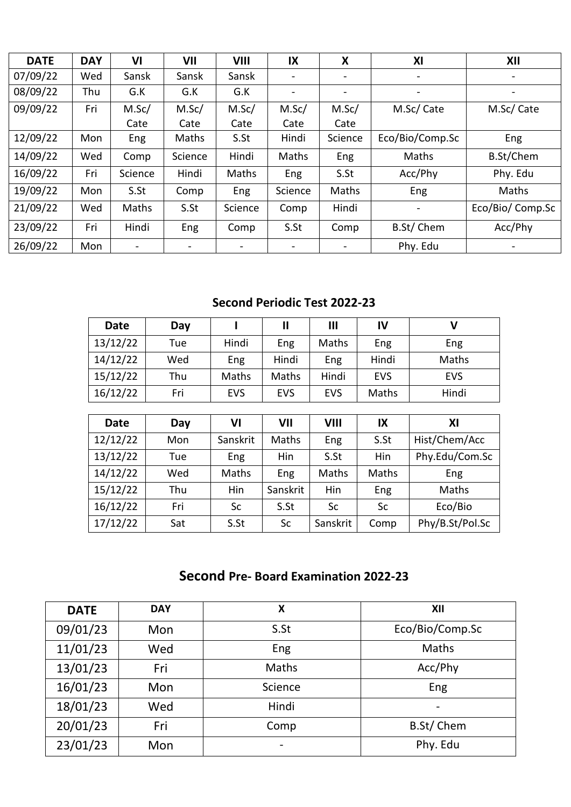| <b>DATE</b> | <b>DAY</b> | VI                       | VII     | VIII                         | IX                       | X                        | XI                       | XII                          |
|-------------|------------|--------------------------|---------|------------------------------|--------------------------|--------------------------|--------------------------|------------------------------|
| 07/09/22    | Wed        | Sansk                    | Sansk   | Sansk                        | $\overline{\phantom{a}}$ | $\overline{\phantom{a}}$ | $\overline{\phantom{a}}$ |                              |
| 08/09/22    | Thu        | G.K                      | G.K     | G.K                          | $\overline{\phantom{a}}$ | $\overline{\phantom{0}}$ | $\overline{\phantom{a}}$ |                              |
| 09/09/22    | Fri        | M.Sc/                    | M.Sc/   | M.Sc/                        | M.Sc/                    | M.Sc/                    | M.Sc/ Cate               | M.Sc/Cate                    |
|             |            | Cate                     | Cate    | Cate                         | Cate                     | Cate                     |                          |                              |
| 12/09/22    | Mon        | Eng                      | Maths   | S.St                         | Hindi                    | Science                  | Eco/Bio/Comp.Sc          | Eng                          |
| 14/09/22    | Wed        | Comp                     | Science | Hindi                        | Maths                    | Eng                      | Maths                    | <b>B.St/Chem</b>             |
| 16/09/22    | Fri        | Science                  | Hindi   | Maths                        | Eng                      | S.St                     | Acc/Phy                  | Phy. Edu                     |
| 19/09/22    | Mon        | S.St                     | Comp    | Eng                          | Science                  | Maths                    | Eng                      | Maths                        |
| 21/09/22    | Wed        | Maths                    | S.St    | Science                      | Comp                     | Hindi                    | -                        | Eco/Bio/ Comp.Sc             |
| 23/09/22    | Fri        | Hindi                    | Eng     | Comp                         | S.St                     | Comp                     | B.St/Chem                | Acc/Phy                      |
| 26/09/22    | Mon        | $\overline{\phantom{a}}$ | -       | $\qquad \qquad \blacksquare$ | $\overline{\phantom{a}}$ | $\blacksquare$           | Phy. Edu                 | $\qquad \qquad \blacksquare$ |

#### **Second Periodic Test 2022-23**

| <b>Date</b> | Day |              | 11           | $\mathbf{III}$ | <b>IV</b>  |            |
|-------------|-----|--------------|--------------|----------------|------------|------------|
| 13/12/22    | Tue | Hindi        | Eng          | Maths          | Eng        | Eng        |
| 14/12/22    | Wed | Eng          | Hindi        | Eng            | Hindi      | Maths      |
| 15/12/22    | Thu | <b>Maths</b> | <b>Maths</b> | Hindi          | <b>EVS</b> | <b>EVS</b> |
| 16/12/22    | Fri | <b>EVS</b>   | <b>EVS</b>   | <b>EVS</b>     | Maths      | Hindi      |

| <b>Date</b> |     | VI       | VII        | VIII     | IX    | XI              |
|-------------|-----|----------|------------|----------|-------|-----------------|
|             | Day |          |            |          |       |                 |
| 12/12/22    | Mon | Sanskrit | Maths      | Eng      | S.St  | Hist/Chem/Acc   |
| 13/12/22    | Tue | Eng      | <b>Hin</b> | S.St     | Hin   | Phy.Edu/Com.Sc  |
| 14/12/22    | Wed | Maths    | Eng        | Maths    | Maths | Eng             |
| 15/12/22    | Thu | Hin      | Sanskrit   | Hin      | Eng   | Maths           |
| 16/12/22    | Fri | Sc       | S.St       | Sc       | Sc    | Eco/Bio         |
| 17/12/22    | Sat | S.St     | Sc         | Sanskrit | Comp  | Phy/B.St/Pol.Sc |

### **Second Pre- Board Examination 2022-23**

| <b>DATE</b> | <b>DAY</b> | X                        | XII             |
|-------------|------------|--------------------------|-----------------|
| 09/01/23    | Mon        | S.St                     | Eco/Bio/Comp.Sc |
| 11/01/23    | Wed        | Eng                      | Maths           |
| 13/01/23    | Fri        | Maths                    | Acc/Phy         |
| 16/01/23    | Mon        | Science                  | Eng             |
| 18/01/23    | Wed        | Hindi                    | -               |
| 20/01/23    | Fri        | Comp                     | B.St/Chem       |
| 23/01/23    | Mon        | $\overline{\phantom{a}}$ | Phy. Edu        |